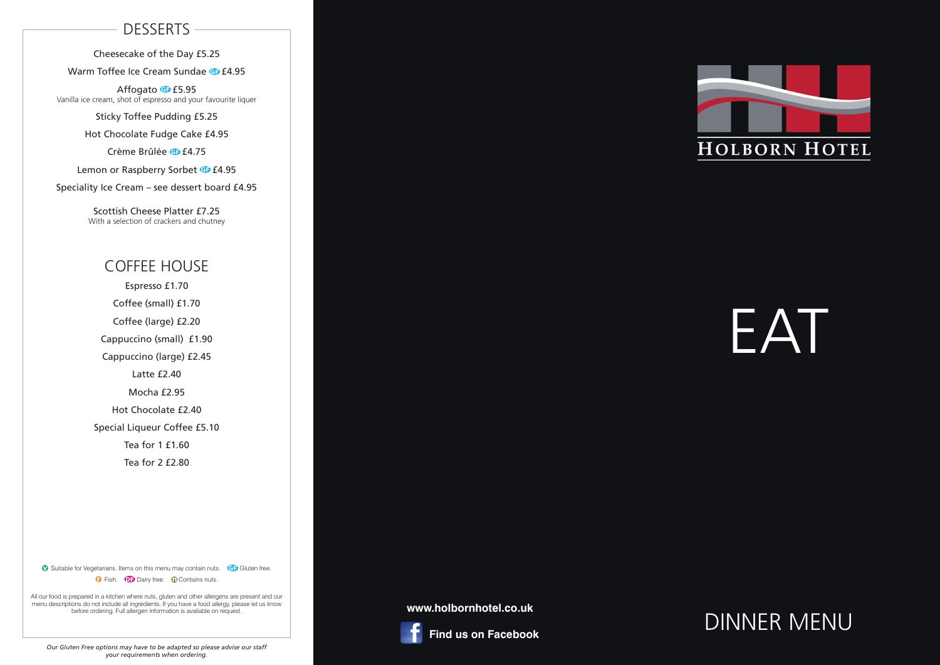# EAT

## DINNER MENU

#### **www.holbornhotel.co.uk**



 **Find us on Facebook**



#### **DESSERTS**

Cheesecake of the Day £5.25

Warm Toffee Ice Cream Sundae **G** £4.95

Affogato **G** £5.95 Vanilla ice cream, shot of espresso and your favourite liquer

Sticky Toffee Pudding £5.25

Hot Chocolate Fudge Cake £4.95

Crème Brûlée **G** £4.75

Lemon or Raspberry Sorbet **G** £4.95

Speciality Ice Cream – see dessert board £4.95

Scottish Cheese Platter £7.25 With a selection of crackers and chutney

#### COFFEE HOUSE

Espresso £1.70 Coffee (small) £1.70 Coffee (large) £2.20 Cappuccino (small) £1.90 Cappuccino (large) £2.45 Latte £2.40 Mocha £2.95 Hot Chocolate £2.40 Special Liqueur Coffee £5.10 Tea for 1 £1.60 Tea for 2 £2.80

**v** Suitable for Vegetarians. Items on this menu may contain nuts. GF Gluten free. **D** Fish. **D** Dairy free. **Q** Contains nuts.

All our food is prepared in a kitchen where nuts, gluten and other allergens are present and our menu descriptions do not include all ingredients. If you have a food allergy, please let us know before ordering. Full allergen information is available on request.

*Our Gluten Free options may have to be adapted so please advise our staff your requirements when ordering.*